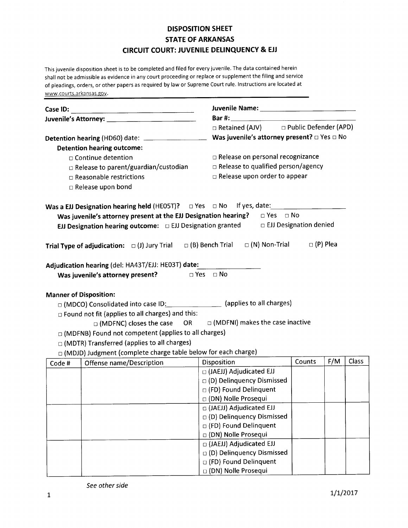## DISPOSITION SHEET STATE OF ARKANSAS CIRCUIT COURT: JUVENILE DELINQUENCY & EJJ

This juvenile disposition sheet is to be completed and filed for every juvenile. The data contained herein shall not be admissible as evidence in any court proceeding or replace or supplement the filing and service of pleadings, orders, or other papers as required by law or Supreme Court rule. lnstructions are located at www.courts.arkansas.gov.

| Detention hearing (HD60) date: ___________________                                                             |                                                                 |            | Was juvenile's attorney present? $\Box$ Yes $\Box$ No                                         |        |     |              |  |  |
|----------------------------------------------------------------------------------------------------------------|-----------------------------------------------------------------|------------|-----------------------------------------------------------------------------------------------|--------|-----|--------------|--|--|
|                                                                                                                | <b>Detention hearing outcome:</b>                               |            |                                                                                               |        |     |              |  |  |
| $\Box$ Continue detention                                                                                      |                                                                 |            | $\Box$ Release on personal recognizance                                                       |        |     |              |  |  |
| □ Release to parent/guardian/custodian                                                                         |                                                                 |            | $\Box$ Release to qualified person/agency                                                     |        |     |              |  |  |
| $\Box$ Reasonable restrictions                                                                                 |                                                                 |            | □ Release upon order to appear                                                                |        |     |              |  |  |
|                                                                                                                | $\Box$ Release upon bond                                        |            |                                                                                               |        |     |              |  |  |
|                                                                                                                |                                                                 |            |                                                                                               |        |     |              |  |  |
|                                                                                                                |                                                                 |            | Was juvenile's attorney present at the EJJ Designation hearing? $\Box$ Yes $\Box$ No          |        |     |              |  |  |
|                                                                                                                |                                                                 |            | EJJ Designation hearing outcome: $\Box$ EJJ Designation granted $\Box$ EJJ Designation denied |        |     |              |  |  |
|                                                                                                                |                                                                 |            |                                                                                               |        |     |              |  |  |
|                                                                                                                | Trial Type of adjudication: $\Box$ (J) Jury Trial               |            | $\Box$ (N) Non-Trial $\Box$ (P) Plea<br>$\Box$ (B) Bench Trial                                |        |     |              |  |  |
|                                                                                                                |                                                                 |            |                                                                                               |        |     |              |  |  |
|                                                                                                                | Adjudication hearing (del: HA43T/EJJ: HE03T) date:              |            |                                                                                               |        |     |              |  |  |
|                                                                                                                | Was juvenile's attorney present?                                | D Yes □ No |                                                                                               |        |     |              |  |  |
|                                                                                                                |                                                                 |            |                                                                                               |        |     |              |  |  |
| <b>Manner of Disposition:</b><br>□ (MDCO) Consolidated into case ID: ________________ (applies to all charges) |                                                                 |            |                                                                                               |        |     |              |  |  |
|                                                                                                                | $\Box$ Found not fit (applies to all charges) and this:         |            |                                                                                               |        |     |              |  |  |
|                                                                                                                |                                                                 |            | □ (MDFNC) closes the case OR = □ (MDFNI) makes the case inactive                              |        |     |              |  |  |
|                                                                                                                | $\Box$ (MDFNB) Found not competent (applies to all charges)     |            |                                                                                               |        |     |              |  |  |
|                                                                                                                | □ (MDTR) Transferred (applies to all charges)                   |            |                                                                                               |        |     |              |  |  |
|                                                                                                                | □ (MDJD) Judgment (complete charge table below for each charge) |            |                                                                                               |        |     |              |  |  |
| Code #                                                                                                         | Offense name/Description                                        |            | Disposition                                                                                   | Counts | F/M | <b>Class</b> |  |  |
|                                                                                                                |                                                                 |            | □ (JAEJJ) Adjudicated EJJ                                                                     |        |     |              |  |  |
|                                                                                                                |                                                                 |            | $\Box$ (D) Delinquency Dismissed                                                              |        |     |              |  |  |
|                                                                                                                |                                                                 |            | □ (FD) Found Delinquent                                                                       |        |     |              |  |  |
|                                                                                                                |                                                                 |            | □ (DN) Nolle Prosequi                                                                         |        |     |              |  |  |
|                                                                                                                |                                                                 |            | □ (JAEJJ) Adjudicated EJJ                                                                     |        |     |              |  |  |
|                                                                                                                |                                                                 |            | □ (D) Delinquency Dismissed                                                                   |        |     |              |  |  |
|                                                                                                                |                                                                 |            | □ (FD) Found Delinquent                                                                       |        |     |              |  |  |
|                                                                                                                |                                                                 |            | □ (DN) Nolle Prosequi                                                                         |        |     |              |  |  |
|                                                                                                                |                                                                 |            | □ (JAEJJ) Adjudicated EJJ                                                                     |        |     |              |  |  |
|                                                                                                                |                                                                 |            | □ (D) Delinquency Dismissed                                                                   |        |     |              |  |  |
|                                                                                                                |                                                                 |            | □ (FD) Found Delinquent                                                                       |        |     |              |  |  |
|                                                                                                                |                                                                 |            | □ (DN) Nolle Prosequi                                                                         |        |     |              |  |  |